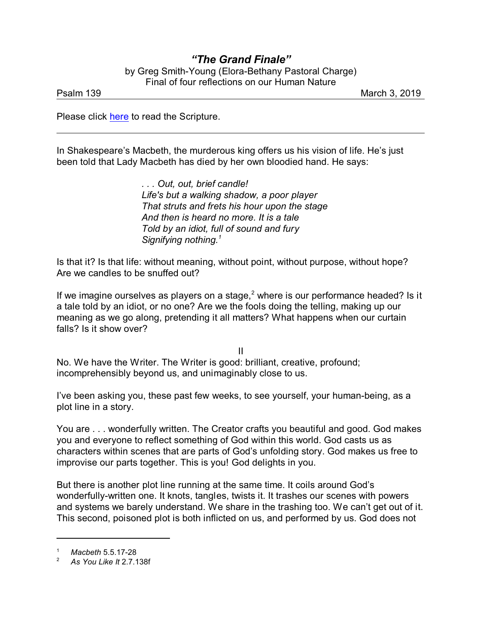## *"The Grand Finale"* by Greg Smith-Young (Elora-Bethany Pastoral Charge) Final of four reflections on our Human Nature

Psalm 139 March 3, 2019

Please click [here](https://www.biblegateway.com/passage/?search=Psalm+139&version=MSG) to read the Scripture.

In Shakespeare's Macbeth, the murderous king offers us his vision of life. He's just been told that Lady Macbeth has died by her own bloodied hand. He says:

> *. . . Out, out, brief candle! Life's but a walking shadow, a poor player That struts and frets his hour upon the stage And then is heard no more. It is a tale Told by an idiot, full of sound and fury Signifying nothing.<sup>1</sup>*

Is that it? Is that life: without meaning, without point, without purpose, without hope? Are we candles to be snuffed out?

If we imagine ourselves as players on a stage,<sup>2</sup> where is our performance headed? Is it a tale told by an idiot, or no one? Are we the fools doing the telling, making up our meaning as we go along, pretending it all matters? What happens when our curtain falls? Is it show over?

II

No. We have the Writer. The Writer is good: brilliant, creative, profound; incomprehensibly beyond us, and unimaginably close to us.

I've been asking you, these past few weeks, to see yourself, your human-being, as a plot line in a story.

You are . . . wonderfully written. The Creator crafts you beautiful and good. God makes you and everyone to reflect something of God within this world. God casts us as characters within scenes that are parts of God's unfolding story. God makes us free to improvise our parts together. This is you! God delights in you.

But there is another plot line running at the same time. It coils around God's wonderfully-written one. It knots, tangles, twists it. It trashes our scenes with powers and systems we barely understand. We share in the trashing too. We can't get out of it. This second, poisoned plot is both inflicted on us, and performed by us. God does not

<sup>1</sup> *Macbeth* 5.5.17-28

<sup>2</sup> *As You Like It* 2.7.138f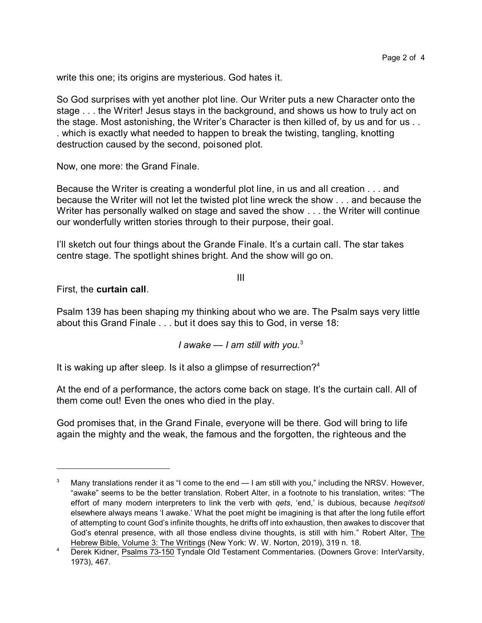write this one; its origins are mysterious. God hates it.

So God surprises with yet another plot line. Our Writer puts a new Character onto the stage . . . the Writer! Jesus stays in the background, and shows us how to truly act on the stage. Most astonishing, the Writer's Character is then killed of, by us and for us . . . which is exactly what needed to happen to break the twisting, tangling, knotting destruction caused by the second, poisoned plot.

Now, one more: the Grand Finale.

Because the Writer is creating a wonderful plot line, in us and all creation . . . and because the Writer will not let the twisted plot line wreck the show . . . and because the Writer has personally walked on stage and saved the show . . . the Writer will continue our wonderfully written stories through to their purpose, their goal.

I'll sketch out four things about the Grande Finale. It's a curtain call. The star takes centre stage. The spotlight shines bright. And the show will go on.

III

## First, the **curtain call**.

Psalm 139 has been shaping my thinking about who we are. The Psalm says very little about this Grand Finale . . . but it does say this to God, in verse 18:

## *I awake — I am still with you.*<sup>3</sup>

It is waking up after sleep. Is it also a glimpse of resurrection?<sup>4</sup>

At the end of a performance, the actors come back on stage. It's the curtain call. All of them come out! Even the ones who died in the play.

God promises that, in the Grand Finale, everyone will be there. God will bring to life again the mighty and the weak, the famous and the forgotten, the righteous and the

Many translations render it as "I come to the end — I am still with you," including the NRSV. However, "awake" seems to be the better translation. Robert Alter, in a footnote to his translation, writes: "The effort of many modern interpreters to link the verb with *qets*, 'end,' is dubious, because *heqitsoti* elsewhere always means 'I awake.' What the poet might be imagining is that after the long futile effort of attempting to count God's infinite thoughts, he drifts off into exhaustion, then awakes to discover that God's etenral presence, with all those endless divine thoughts, is still with him." Robert Alter, The Hebrew Bible, Volume 3: The Writings (New York: W. W. Norton, 2019), 319 n. 18.

<sup>&</sup>lt;sup>4</sup> Derek Kidner, Psalms 73-150 Tyndale Old Testament Commentaries. (Downers Grove: InterVarsity, 1973), 467.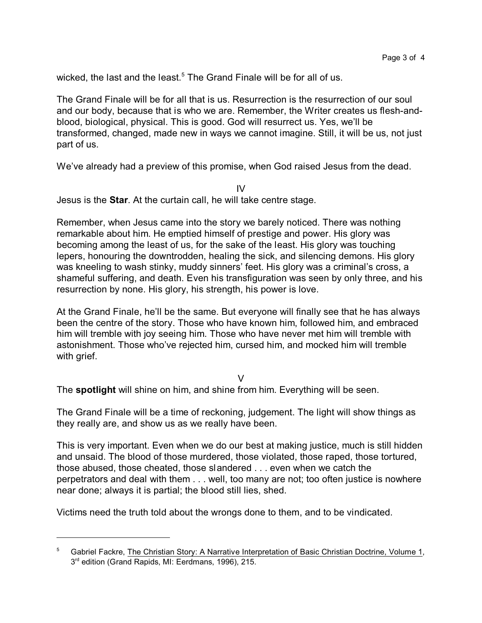wicked, the last and the least.<sup>5</sup> The Grand Finale will be for all of us.

The Grand Finale will be for all that is us. Resurrection is the resurrection of our soul and our body, because that is who we are. Remember, the Writer creates us flesh-andblood, biological, physical. This is good. God will resurrect us. Yes, we'll be transformed, changed, made new in ways we cannot imagine. Still, it will be us, not just part of us.

We've already had a preview of this promise, when God raised Jesus from the dead.

IV

Jesus is the **Star**. At the curtain call, he will take centre stage.

Remember, when Jesus came into the story we barely noticed. There was nothing remarkable about him. He emptied himself of prestige and power. His glory was becoming among the least of us, for the sake of the least. His glory was touching lepers, honouring the downtrodden, healing the sick, and silencing demons. His glory was kneeling to wash stinky, muddy sinners' feet. His glory was a criminal's cross, a shameful suffering, and death. Even his transfiguration was seen by only three, and his resurrection by none. His glory, his strength, his power is love.

At the Grand Finale, he'll be the same. But everyone will finally see that he has always been the centre of the story. Those who have known him, followed him, and embraced him will tremble with joy seeing him. Those who have never met him will tremble with astonishment. Those who've rejected him, cursed him, and mocked him will tremble with grief.

 $\vee$ 

The **spotlight** will shine on him, and shine from him. Everything will be seen.

The Grand Finale will be a time of reckoning, judgement. The light will show things as they really are, and show us as we really have been.

This is very important. Even when we do our best at making justice, much is still hidden and unsaid. The blood of those murdered, those violated, those raped, those tortured, those abused, those cheated, those slandered . . . even when we catch the perpetrators and deal with them . . . well, too many are not; too often justice is nowhere near done; always it is partial; the blood still lies, shed.

Victims need the truth told about the wrongs done to them, and to be vindicated.

<sup>5</sup> Gabriel Fackre, The Christian Story: A Narrative Interpretation of Basic Christian Doctrine, Volume 1, 3<sup>rd</sup> edition (Grand Rapids, MI: Eerdmans, 1996), 215.